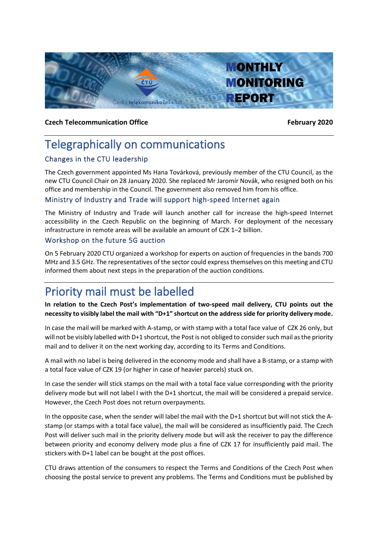

## **Czech Telecommunication Office Czech Telecommunication Office**

# Telegraphically on communications

## Changes in the CTU leadership

The Czech government appointed Ms Hana Továrková, previously member of the CTU Council, as the new CTU Council Chair on 28 January 2020. She replaced Mr Jaromír Novák, who resigned both on his office and membership in the Council. The government also removed him from his office.

## Ministry of Industry and Trade will support high-speed Internet again

The Ministry of Industry and Trade will launch another call for increase the high-speed Internet accessibility in the Czech Republic on the beginning of March. For deployment of the necessary infrastructure in remote areas will be available an amount of CZK 1–2 billion.

## Workshop on the future 5G auction

On 5 February 2020 CTU organized a workshop for experts on auction of frequencies in the bands 700 MHz and 3.5 GHz. The representatives of the sector could express themselves on this meeting and CTU informed them about next steps in the preparation of the auction conditions.

# Priority mail must be labelled

**In relation to the Czech Post's implementation of two-speed mail delivery, CTU points out the necessity to visibly label the mail with "D+1" shortcut on the address side for priority delivery mode.**

In case the mail will be marked with A-stamp, or with stamp with a total face value of CZK 26 only, but will not be visibly labelled with D+1 shortcut, the Post is not obliged to consider such mail as the priority mail and to deliver it on the next working day, according to its Terms and Conditions.

A mail with no label is being delivered in the economy mode and shall have a B-stamp, or a stamp with a total face value of CZK 19 (or higher in case of heavier parcels) stuck on.

In case the sender will stick stamps on the mail with a total face value corresponding with the priority delivery mode but will not label I with the D+1 shortcut, the mail will be considered a prepaid service. However, the Czech Post does not return overpayments.

In the opposite case, when the sender will label the mail with the D+1 shortcut but will not stick the Astamp (or stamps with a total face value), the mail will be considered as insufficiently paid. The Czech Post will deliver such mail in the priority delivery mode but will ask the receiver to pay the difference between priority and economy delivery mode plus a fine of CZK 17 for insufficiently paid mail. The stickers with D+1 label can be bought at the post offices.

CTU draws attention of the consumers to respect the Terms and Conditions of the Czech Post when choosing the postal service to prevent any problems. The Terms and Conditions must be published by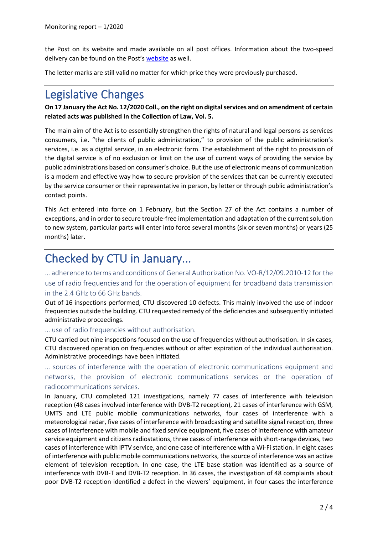the Post on its website and made available on all post offices. Information about the two-speed delivery can be found on the Post's [website](https://www.ceskaposta.cz/en/dverychlosti) as well.

The letter-marks are still valid no matter for which price they were previously purchased.

## Legislative Changes

**On 17 January the Act No. 12/2020 Coll., on the right on digital services and on amendment of certain related acts was published in the Collection of Law, Vol. 5.**

The main aim of the Act is to essentially strengthen the rights of natural and legal persons as services consumers, i.e. "the clients of public administration," to provision of the public administration's services, i.e. as a digital service, in an electronic form. The establishment of the right to provision of the digital service is of no exclusion or limit on the use of current ways of providing the service by public administrations based on consumer's choice. But the use of electronic means of communication is a modern and effective way how to secure provision of the services that can be currently executed by the service consumer or their representative in person, by letter or through public administration's contact points.

This Act entered into force on 1 February, but the Section 27 of the Act contains a number of exceptions, and in order to secure trouble-free implementation and adaptation of the current solution to new system, particular parts will enter into force several months (six or seven months) or years (25 months) later.

# Checked by CTU in January...

… adherence to terms and conditions of General Authorization No. VO-R/12/09.2010-12 for the use of radio frequencies and for the operation of equipment for broadband data transmission in the 2.4 GHz to 66 GHz bands.

Out of 16 inspections performed, CTU discovered 10 defects. This mainly involved the use of indoor frequencies outside the building. CTU requested remedy of the deficiencies and subsequently initiated administrative proceedings.

… use of radio frequencies without authorisation.

CTU carried out nine inspections focused on the use of frequencies without authorisation. In six cases, CTU discovered operation on frequencies without or after expiration of the individual authorisation. Administrative proceedings have been initiated.

… sources of interference with the operation of electronic communications equipment and networks, the provision of electronic communications services or the operation of radiocommunications services.

In January, CTU completed 121 investigations, namely 77 cases of interference with television reception (48 cases involved interference with DVB-T2 reception), 21 cases of interference with GSM, UMTS and LTE public mobile communications networks, four cases of interference with a meteorological radar, five cases of interference with broadcasting and satellite signal reception, three cases of interference with mobile and fixed service equipment, five cases of interference with amateur service equipment and citizens radiostations, three cases of interference with short-range devices, two cases of interference with IPTV service, and one case of interference with a Wi-Fi station. In eight cases of interference with public mobile communications networks, the source of interference was an active element of television reception. In one case, the LTE base station was identified as a source of interference with DVB-T and DVB-T2 reception. In 36 cases, the investigation of 48 complaints about poor DVB-T2 reception identified a defect in the viewers' equipment, in four cases the interference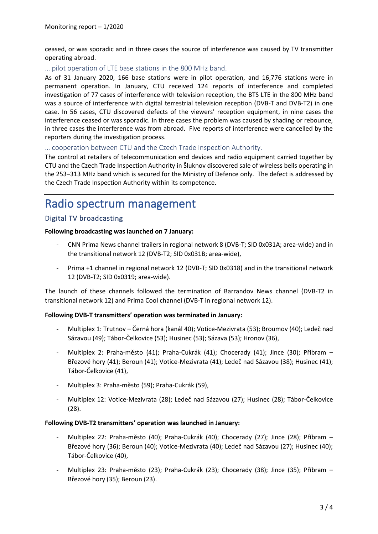ceased, or was sporadic and in three cases the source of interference was caused by TV transmitter operating abroad.

… pilot operation of LTE base stations in the 800 MHz band.

As of 31 January 2020, 166 base stations were in pilot operation, and 16,776 stations were in permanent operation. In January, CTU received 124 reports of interference and completed investigation of 77 cases of interference with television reception, the BTS LTE in the 800 MHz band was a source of interference with digital terrestrial television reception (DVB-T and DVB-T2) in one case. In 56 cases, CTU discovered defects of the viewers' reception equipment, in nine cases the interference ceased or was sporadic. In three cases the problem was caused by shading or rebounce, in three cases the interference was from abroad. Five reports of interference were cancelled by the reporters during the investigation process.

#### … cooperation between CTU and the Czech Trade Inspection Authority.

The control at retailers of telecommunication end devices and radio equipment carried together by CTU and the Czech Trade Inspection Authority in Šluknov discovered sale of wireless bells operating in the 253–313 MHz band which is secured for the Ministry of Defence only. The defect is addressed by the Czech Trade Inspection Authority within its competence.

## Radio spectrum management

## Digital TV broadcasting

#### **Following broadcasting was launched on 7 January:**

- CNN Prima News channel trailers in regional network 8 (DVB-T; SID 0x031A; area-wide) and in the transitional network 12 (DVB-T2; SID 0x031B; area-wide),
- Prima +1 channel in regional network 12 (DVB-T; SID 0x0318) and in the transitional network 12 (DVB-T2; SID 0x0319; area-wide).

The launch of these channels followed the termination of Barrandov News channel (DVB-T2 in transitional network 12) and Prima Cool channel (DVB-T in regional network 12).

#### **Following DVB-T transmitters' operation was terminated in January:**

- Multiplex 1: Trutnov Černá hora (kanál 40); Votice-Mezivrata (53); Broumov (40); Ledeč nad Sázavou (49); Tábor-Čelkovice (53); Husinec (53); Sázava (53); Hronov (36),
- Multiplex 2: Praha-město (41); Praha-Cukrák (41); Chocerady (41); Jince (30); Příbram Březové hory (41); Beroun (41); Votice-Mezivrata (41); Ledeč nad Sázavou (38); Husinec (41); Tábor-Čelkovice (41),
- Multiplex 3: Praha-město (59); Praha-Cukrák (59),
- Multiplex 12: Votice-Mezivrata (28); Ledeč nad Sázavou (27); Husinec (28); Tábor-Čelkovice (28).

#### **Following DVB-T2 transmitters' operation was launched in January:**

- Multiplex 22: Praha-město (40); Praha-Cukrák (40); Chocerady (27); Jince (28); Příbram Březové hory (36); Beroun (40); Votice-Mezivrata (40); Ledeč nad Sázavou (27); Husinec (40); Tábor-Čelkovice (40),
- Multiplex 23: Praha-město (23); Praha-Cukrák (23); Chocerady (38); Jince (35); Příbram Březové hory (35); Beroun (23).